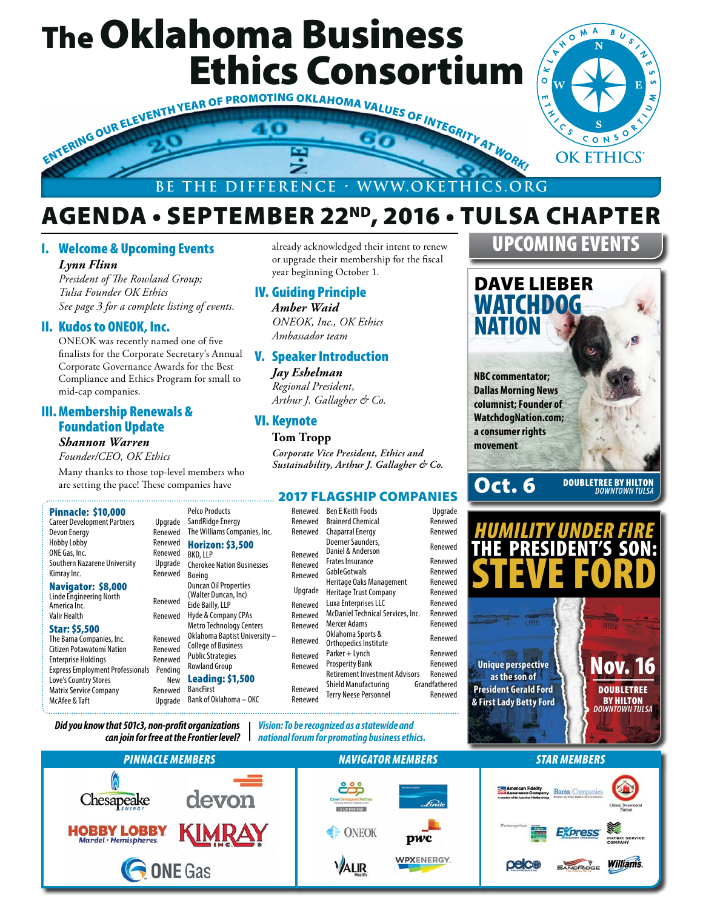# The Oklahoma Business Ethics Consortium



#### **BE THE DIFFERENCE • WWW.OKETHICS.ORG**

# AGENDA • SEPTEMBER 22ND, 2016 • TULSA CHAPTER

year beginning October 1.

*ONEOK, Inc., OK Ethics* 

V. Speaker Introduction *Jay Eshelman Regional President, Arthur J. Gallagher & Co.*

IV. Guiding Principle *Amber Waid*

*Ambassador team*

VI. Keynote **Tom Tropp**

already acknowledged their intent to renew or upgrade their membership for the fiscal

#### I. Welcome & Upcoming Events

*Lynn Flinn*

*President of The Rowland Group; Tulsa Founder OK Ethics See page 3 for a complete listing of events.*

#### II. Kudos to ONEOK, Inc.

ONEOK was recently named one of five finalists for the Corporate Secretary's Annual Corporate Governance Awards for the Best Compliance and Ethics Program for small to mid-cap companies.

#### III.Membership Renewals & Foundation Update

#### *Shannon Warren*

*Founder/CEO, OK Ethics*

Many thanks to those top-level members who are setting the pace! These companies have

*Did you know that 501c3, non-profit organizations* 

#### Pinnacle: \$10,000

Career Development Partners Upgrade Devon Energy Renewed<br>Hobby Lobby Renewed Hobby Lobby ONE Gas, Inc. The Renewed Southern Nazarene University Upgrade Kimray Inc. **Renewed** 

#### Navigator: \$8,000 Linde Engineering North

America Inc. Renewed Valir Health Renewed

#### Star: \$5,500

The Bama Companies, Inc. Renewed Citizen Potawatomi Nation Renewed Enterprise Holdings **Renewed** Express Employment Professionals Pending Love's Country Stores New Matrix Service Company **Renewed** McAfee & Taft Upgrade

*Corporate Vice President, Ethics and Sustainability, Arthur J. Gallagher & Co.* Pelco Products SandRidge Energy Renewed Renewed The Williams Companies, Inc. Renewed Horizon: \$3,500 BKD, LLP Rene Cherokee Nation Businesses Rene Boeing Renewed Boeing Renewed Ren E Keith Foods Unarade 2017 FLAGSHIP COMPANIES

Duncan Oil Properties Duncan Off Properties<br>(Walter Duncan, Inc) Upg Eide Bailly, LLP Rene Hyde & Company CPAs Rene Metro Technology Centers Rene Oklahoma Baptist University – College of Business Renewed Public Strategies Rowland Group Renewed Leading: \$1,500 BancFirst Rene Bank of Oklahoma – OKC Rene

|                 |                                            | , p.q. a.a.c  |
|-----------------|--------------------------------------------|---------------|
| ewed            | <b>Brainerd Chemical</b>                   | Renewed       |
| ewed            | <b>Chaparral Energy</b>                    | Renewed       |
| ewed            | Doerner Saunders.<br>Daniel & Anderson     | Renewed       |
| ewed            | <b>Frates Insurance</b>                    | Renewed       |
| ewed            | GableGotwals                               | Renewed       |
|                 | Heritage Oaks Management                   | Renewed       |
| ırade           | <b>Heritage Trust Company</b>              | Renewed       |
| ewed            | Luxa Enterprises LLC                       | Renewed       |
| ewed            | McDaniel Technical Services, Inc.          | Renewed       |
| ewed            | Mercer Adams                               | Renewed       |
| ewed            | Oklahoma Sports &<br>Orthopedics Institute | Renewed       |
| ewed            | Parker + Lynch                             | Renewed       |
| ewed            | <b>Prosperity Bank</b>                     | Renewed       |
|                 | <b>Retirement Investment Advisors</b>      | Renewed       |
|                 | Shield Manufacturing                       | Grandfathered |
| ewed<br>اممیییہ | <b>Terry Neese Personnel</b>               | Renewed       |
|                 |                                            |               |

# DAVE LIEBER UPCOMING EVENTS

NATION **NBC commentator; Dallas Morning News columnist; Founder of WatchdogNation.com;** 

**WATCHDOG** 

# **movement**

**a consumer rights** 

Oct. 6 DOUBLETREE BY HILTON *DOWNTOWN TULSA*





*Vision: To be recognized as a statewide and*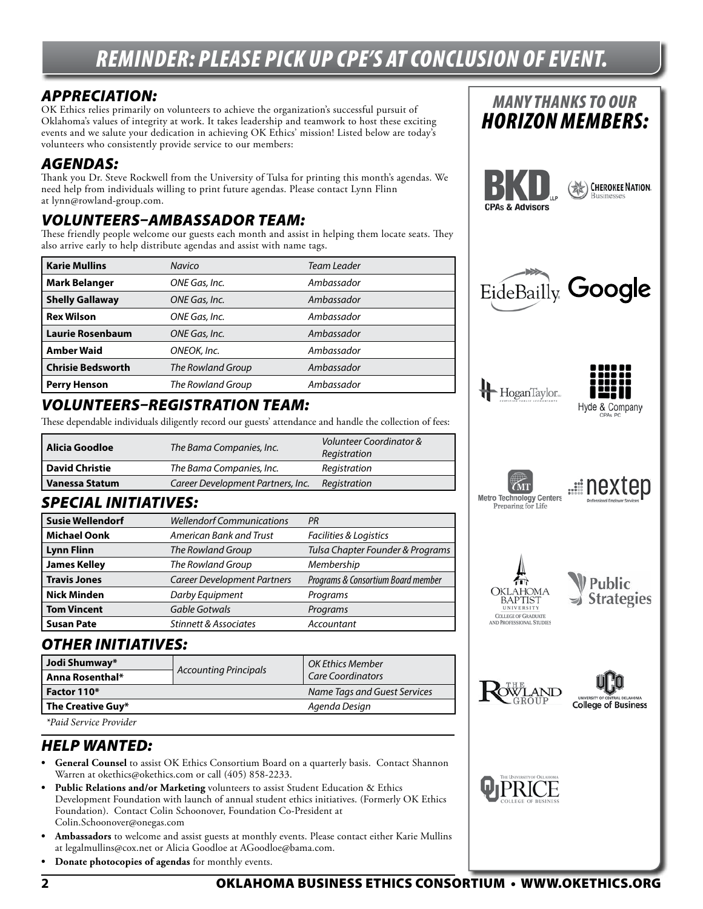# *REMINDER: PLEASE PICK UP CPE'S AT CONCLUSION OF EVENT.*

#### *APPRECIATION:*

OK Ethics relies primarily on volunteers to achieve the organization's successful pursuit of Oklahoma's values of integrity at work. It takes leadership and teamwork to host these exciting events and we salute your dedication in achieving OK Ethics' mission! Listed below are today's volunteers who consistently provide service to our members:

#### *AGENDAS:*

Thank you Dr. Steve Rockwell from the University of Tulsa for printing this month's agendas. We need help from individuals willing to print future agendas. Please contact Lynn Flinn at lynn@rowland-group.com.

#### *VOLUNTEERS–AMBASSADOR TEAM:*

These friendly people welcome our guests each month and assist in helping them locate seats. They also arrive early to help distribute agendas and assist with name tags.

| <b>Karie Mullins</b>     | Navico            | Team Leader |
|--------------------------|-------------------|-------------|
| <b>Mark Belanger</b>     | ONE Gas, Inc.     | Ambassador  |
| <b>Shelly Gallaway</b>   | ONE Gas, Inc.     | Ambassador  |
| <b>Rex Wilson</b>        | ONE Gas, Inc.     | Ambassador  |
| <b>Laurie Rosenbaum</b>  | ONE Gas, Inc.     | Ambassador  |
| <b>Amber Waid</b>        | ONEOK, Inc.       | Ambassador  |
| <b>Chrisie Bedsworth</b> | The Rowland Group | Ambassador  |
| <b>Perry Henson</b>      | The Rowland Group | Ambassador  |

#### *VOLUNTEERS–REGISTRATION TEAM:*

These dependable individuals diligently record our guests' attendance and handle the collection of fees:

| l Alicia Goodloe | The Bama Companies, Inc.          | Volunteer Coordinator &<br>Registration |  |  |
|------------------|-----------------------------------|-----------------------------------------|--|--|
| l David Christie | The Bama Companies, Inc.          | Registration                            |  |  |
| Vanessa Statum   | Career Development Partners, Inc. | Registration                            |  |  |

#### *SPECIAL INITIATIVES:*

| <b>Susie Wellendorf</b> | <b>Wellendorf Communications</b>   | PR                                 |  |  |  |
|-------------------------|------------------------------------|------------------------------------|--|--|--|
| <b>Michael Oonk</b>     | American Bank and Trust            | Facilities & Logistics             |  |  |  |
| <b>Lynn Flinn</b>       | The Rowland Group                  | Tulsa Chapter Founder & Programs   |  |  |  |
| <b>James Kelley</b>     | The Rowland Group                  | Membership                         |  |  |  |
| <b>Travis Jones</b>     | <b>Career Development Partners</b> | Programs & Consortium Board member |  |  |  |
| <b>Nick Minden</b>      | Darby Equipment                    | Programs                           |  |  |  |
| <b>Tom Vincent</b>      | Gable Gotwals                      | Programs                           |  |  |  |
| <b>Susan Pate</b>       | <b>Stinnett &amp; Associates</b>   | Accountant                         |  |  |  |

#### *OTHER INITIATIVES:*

| Jodi Shumway*<br>Anna Rosenthal* | <b>Accounting Principals</b> | <b>OK Ethics Member</b><br><b>Care Coordinators</b> |
|----------------------------------|------------------------------|-----------------------------------------------------|
| Factor 110*                      |                              | Name Tags and Guest Services                        |
| The Creative Guy*                |                              | Agenda Design                                       |
| <i>*Paid Service Provider</i>    |                              |                                                     |

#### *HELP WANTED:*

- **• General Counsel** to assist OK Ethics Consortium Board on a quarterly basis. Contact Shannon Warren at okethics@okethics.com or call (405) 858-2233.
- **• Public Relations and/or Marketing** volunteers to assist Student Education & Ethics Development Foundation with launch of annual student ethics initiatives. (Formerly OK Ethics Foundation). Contact Colin Schoonover, Foundation Co-President at Colin.Schoonover@onegas.com
- **• Ambassadors** to welcome and assist guests at monthly events. Please contact either Karie Mullins at legalmullins@cox.net or Alicia Goodloe at AGoodloe@bama.com.
- **• Donate photocopies of agendas** for monthly events.

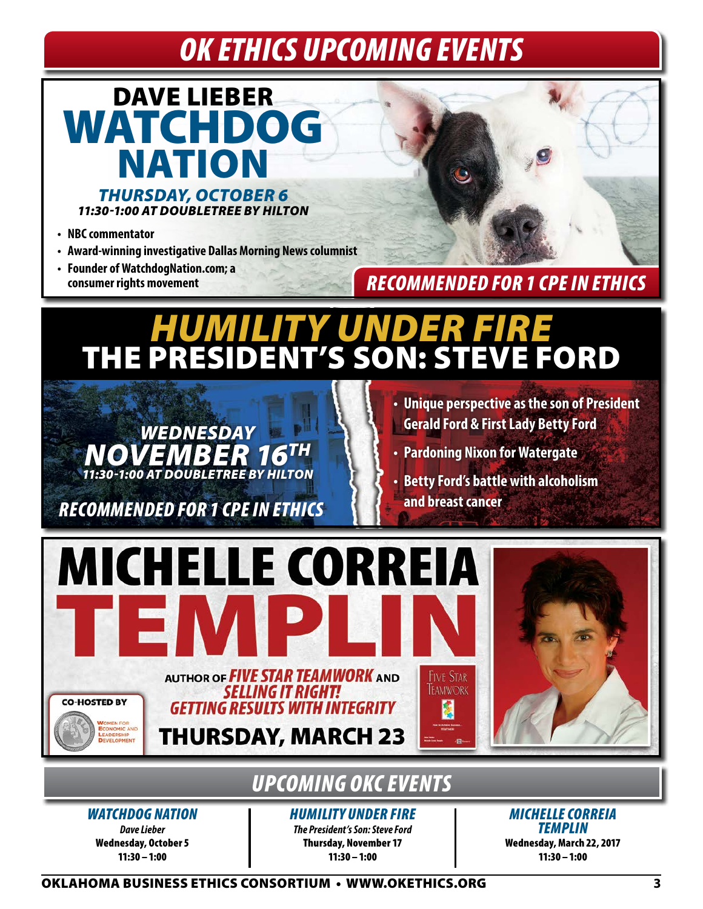# *OK ETHICS UPCOMING EVENTS*



- **• NBC commentator**
- **• Award-winning investigative Dallas Morning News columnist**
- **• Founder of WatchdogNation.com; a consumer rights movement**



### *RECOMMENDED FOR 1 CPE IN ETHICS*

# *HUMILITY UNDER FIRE* THE PRESIDENT'S SON: STEVE FORD



**and breast cancer** *RECOMMENDED FOR 1 CPE IN ETHICS*

- **• Unique perspective as the son of President Gerald Ford & First Lady Betty Ford**
- **• Pardoning Nixon for Watergate**
- **• Betty Ford's battle with alcoholism**



# *UPCOMING OKC EVENTS*

*WATCHDOG NATION*

*Dave Lieber* Wednesday, October 5 11:30 –1:00

*HUMILITY UNDER FIRE The President's Son: Steve Ford* Thursday, November 17 11:30–1:00

*MICHELLE CORREIA TEMPLIN* Wednesday, March 22, 2017 11:30–1:00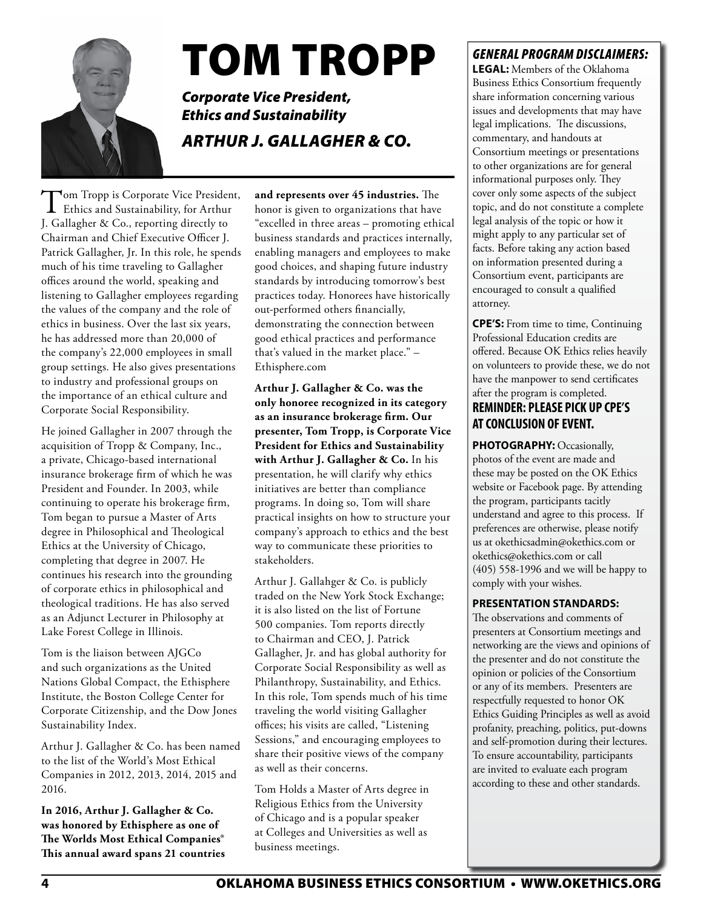

# TOM TROPP

*Corporate Vice President, Ethics and Sustainability ARTHUR J. GALLAGHER & CO.*

Tom Tropp is Corporate Vice President,<br>Ethics and Sustainability, for Arthur J. Gallagher & Co., reporting directly to Chairman and Chief Executive Officer J. Patrick Gallagher, Jr. In this role, he spends much of his time traveling to Gallagher offices around the world, speaking and listening to Gallagher employees regarding the values of the company and the role of ethics in business. Over the last six years, he has addressed more than 20,000 of the company's 22,000 employees in small group settings. He also gives presentations to industry and professional groups on the importance of an ethical culture and Corporate Social Responsibility.

He joined Gallagher in 2007 through the acquisition of Tropp & Company, Inc., a private, Chicago-based international insurance brokerage firm of which he was President and Founder. In 2003, while continuing to operate his brokerage firm, Tom began to pursue a Master of Arts degree in Philosophical and Theological Ethics at the University of Chicago, completing that degree in 2007. He continues his research into the grounding of corporate ethics in philosophical and theological traditions. He has also served as an Adjunct Lecturer in Philosophy at Lake Forest College in Illinois.

Tom is the liaison between AJGCo and such organizations as the United Nations Global Compact, the Ethisphere Institute, the Boston College Center for Corporate Citizenship, and the Dow Jones Sustainability Index.

Arthur J. Gallagher & Co. has been named to the list of the World's Most Ethical Companies in 2012, 2013, 2014, 2015 and 2016.

**In 2016, Arthur J. Gallagher & Co. was honored by Ethisphere as one of The Worlds Most Ethical Companies® This annual award spans 21 countries** 

**and represents over 45 industries.** The honor is given to organizations that have "excelled in three areas – promoting ethical business standards and practices internally, enabling managers and employees to make good choices, and shaping future industry standards by introducing tomorrow's best practices today. Honorees have historically out-performed others financially, demonstrating the connection between good ethical practices and performance that's valued in the market place." – Ethisphere.com

**Arthur J. Gallagher & Co. was the only honoree recognized in its category as an insurance brokerage firm. Our presenter, Tom Tropp, is Corporate Vice President for Ethics and Sustainability with Arthur J. Gallagher & Co.** In his presentation, he will clarify why ethics initiatives are better than compliance programs. In doing so, Tom will share practical insights on how to structure your company's approach to ethics and the best way to communicate these priorities to stakeholders.

Arthur J. Gallahger & Co. is publicly traded on the New York Stock Exchange; it is also listed on the list of Fortune 500 companies. Tom reports directly to Chairman and CEO, J. Patrick Gallagher, Jr. and has global authority for Corporate Social Responsibility as well as Philanthropy, Sustainability, and Ethics. In this role, Tom spends much of his time traveling the world visiting Gallagher offices; his visits are called, "Listening Sessions," and encouraging employees to share their positive views of the company as well as their concerns.

Tom Holds a Master of Arts degree in Religious Ethics from the University of Chicago and is a popular speaker at Colleges and Universities as well as business meetings.

#### *GENERAL PROGRAM DISCLAIMERS:*

**LEGAL:** Members of the Oklahoma Business Ethics Consortium frequently share information concerning various issues and developments that may have legal implications. The discussions, commentary, and handouts at Consortium meetings or presentations to other organizations are for general informational purposes only. They cover only some aspects of the subject topic, and do not constitute a complete legal analysis of the topic or how it might apply to any particular set of facts. Before taking any action based on information presented during a Consortium event, participants are encouraged to consult a qualified attorney.

**CPE'S:** From time to time, Continuing Professional Education credits are offered. Because OK Ethics relies heavily on volunteers to provide these, we do not have the manpower to send certificates after the program is completed.

#### **REMINDER: PLEASE PICK UP CPE'S AT CONCLUSION OF EVENT.**

PHOTOGRAPHY: Occasionally, photos of the event are made and these may be posted on the OK Ethics website or Facebook page. By attending the program, participants tacitly understand and agree to this process. If preferences are otherwise, please notify us at okethicsadmin@okethics.com or okethics@okethics.com or call (405) 558-1996 and we will be happy to comply with your wishes.

#### **PRESENTATION STANDARDS:**

The observations and comments of presenters at Consortium meetings and networking are the views and opinions of the presenter and do not constitute the opinion or policies of the Consortium or any of its members. Presenters are respectfully requested to honor OK Ethics Guiding Principles as well as avoid profanity, preaching, politics, put-downs and self-promotion during their lectures. To ensure accountability, participants are invited to evaluate each program according to these and other standards.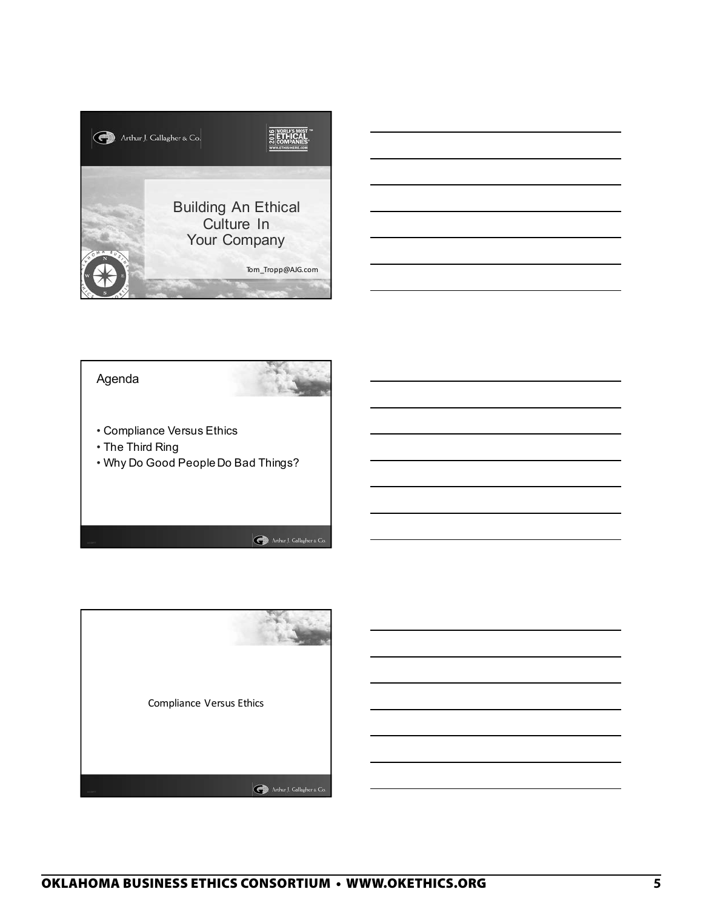



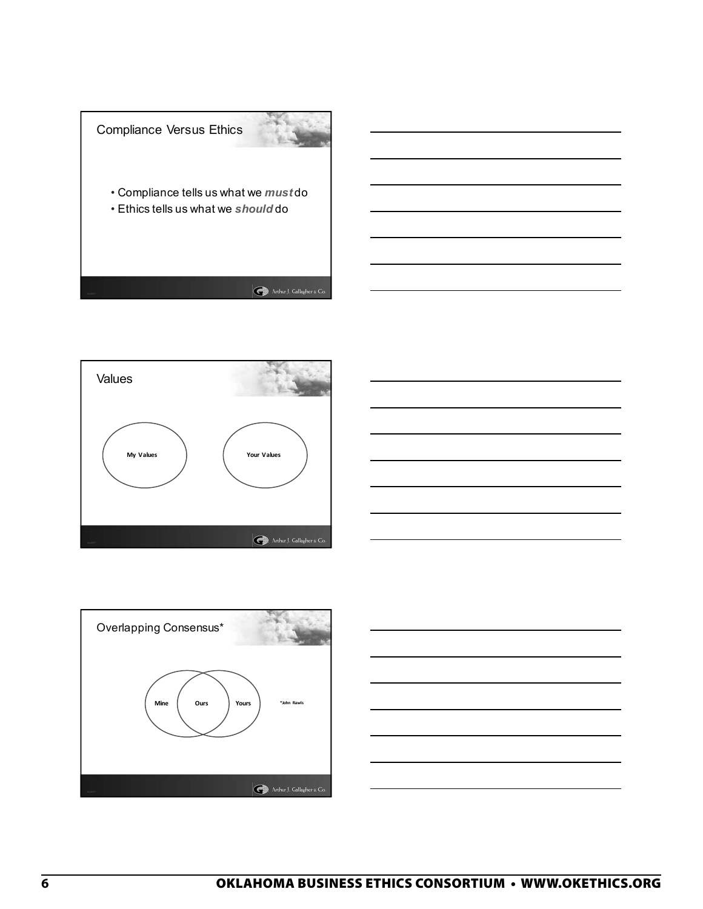







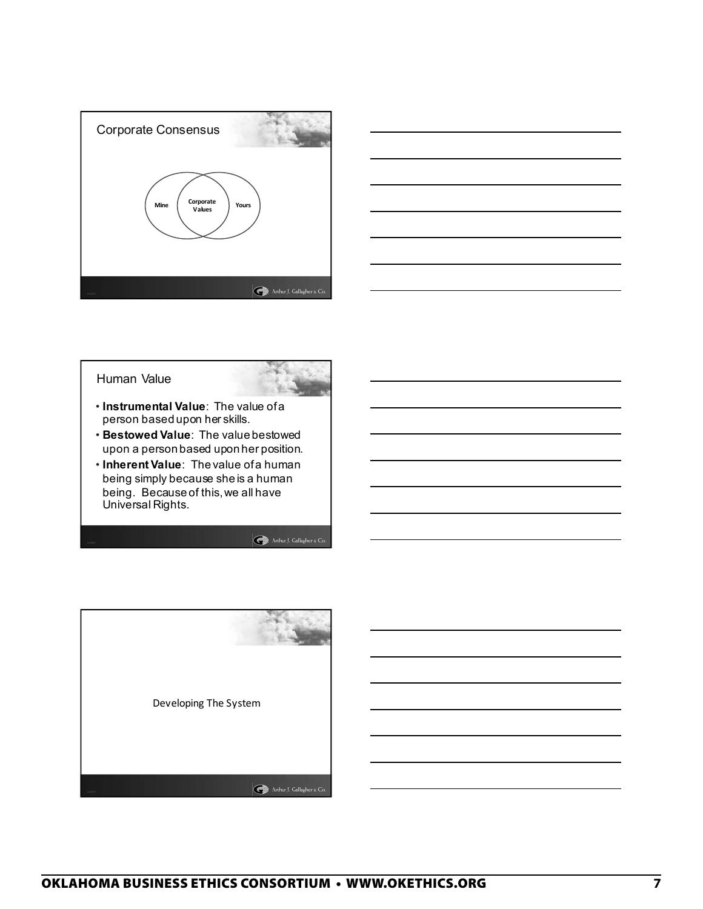





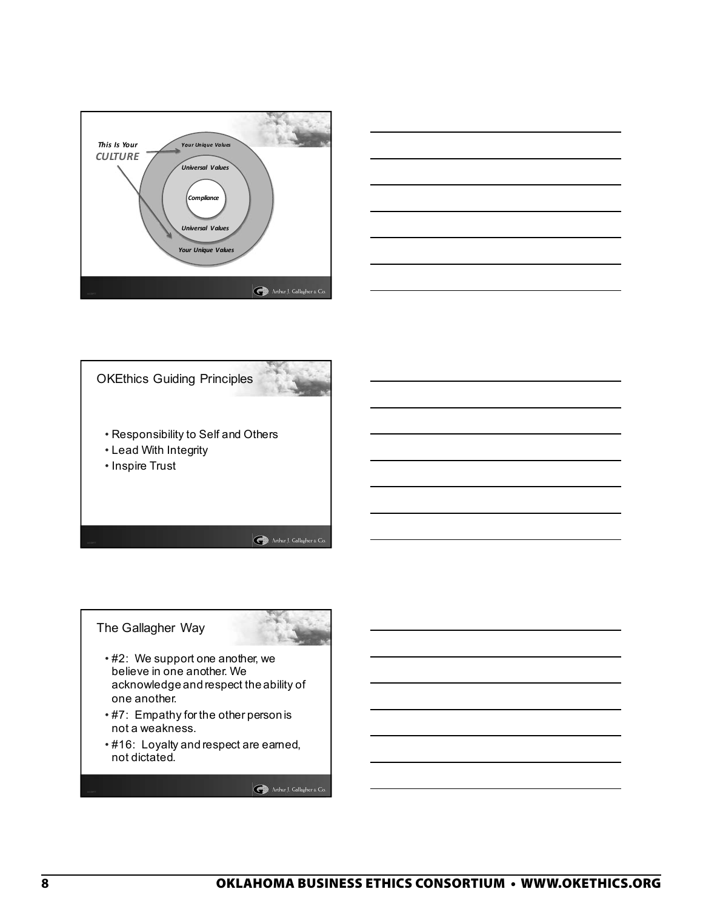





The Gallagher Way



- #2: We support one another, we believe in one another. We acknowledge and respect the ability of one another.
- #7: Empathy for the other person is not a weakness.
- #16: Loyalty and respect are earned, not dictated.

Arthur J. Gallagher & Co.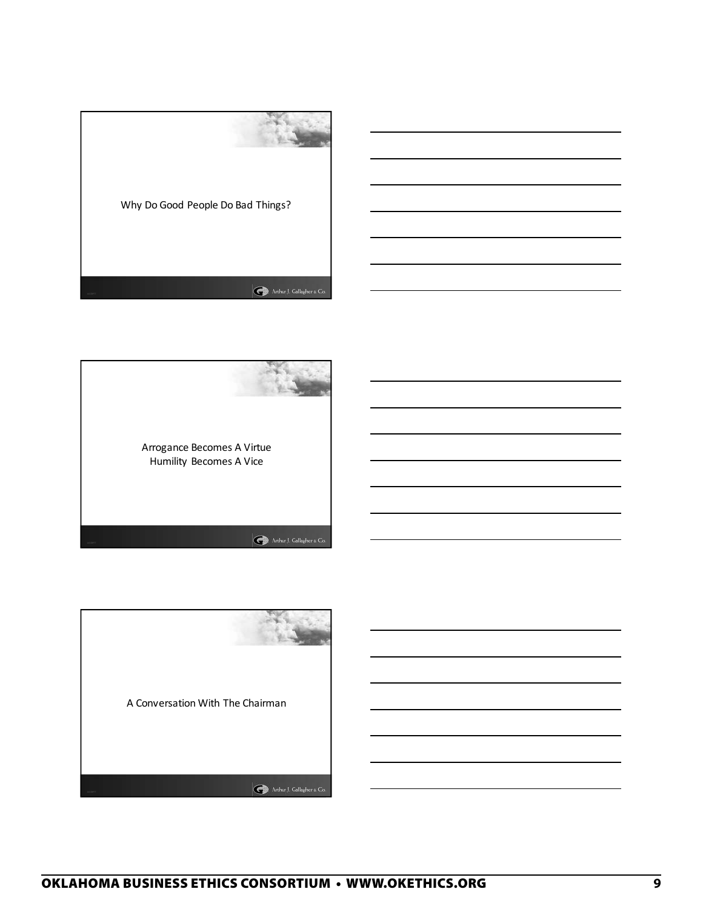



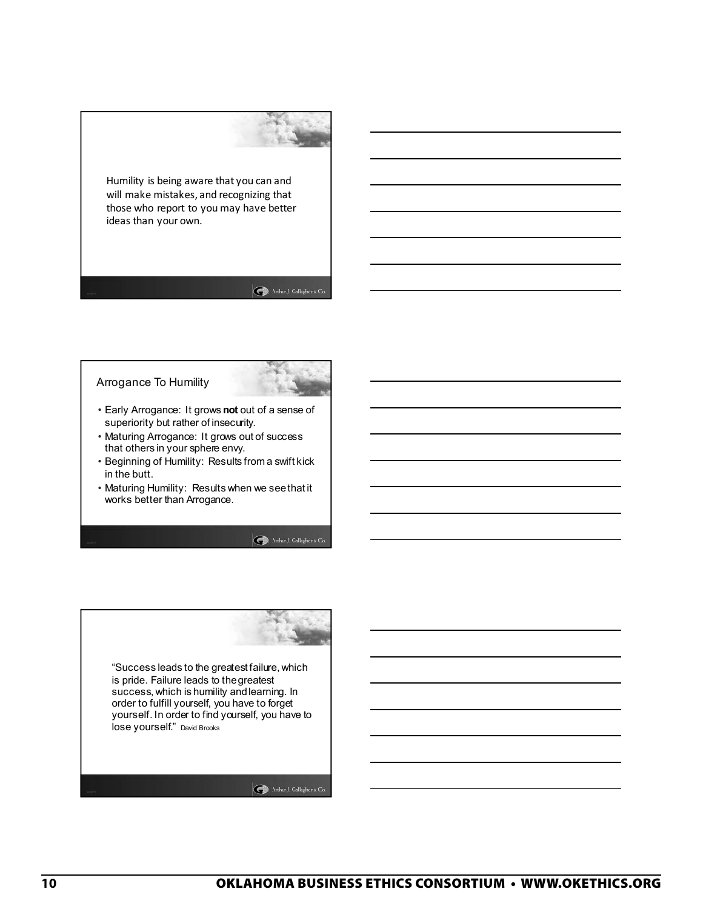Humility is being aware that you can and will make mistakes, and recognizing that those who report to you may have better ideas than your own.

#### Arthur J. Gallagher & Co.

#### Arrogance To Humility



- Early Arrogance: It grows **not** out of a sense of superiority but rather of insecurity.
- Maturing Arrogance: It grows out of success that others in your sphere envy.
- Beginning of Humility: Results from a swift kick in the butt.
- Maturing Humility: Results when we see that it works better than Arrogance.

Arthur J. Gallagher & Co.

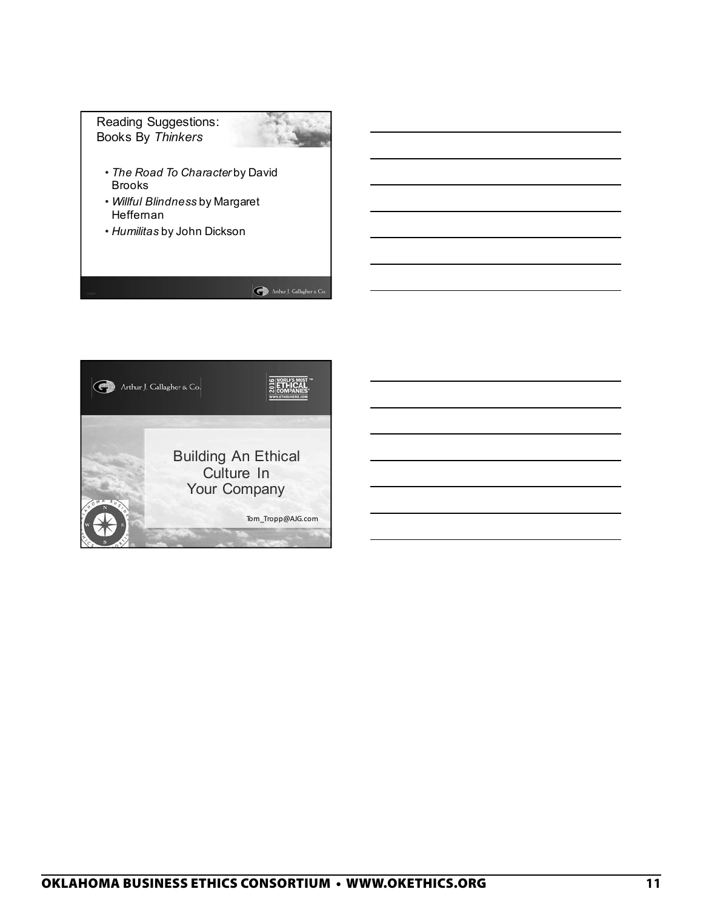

Arthur J. Gallagher & Co.

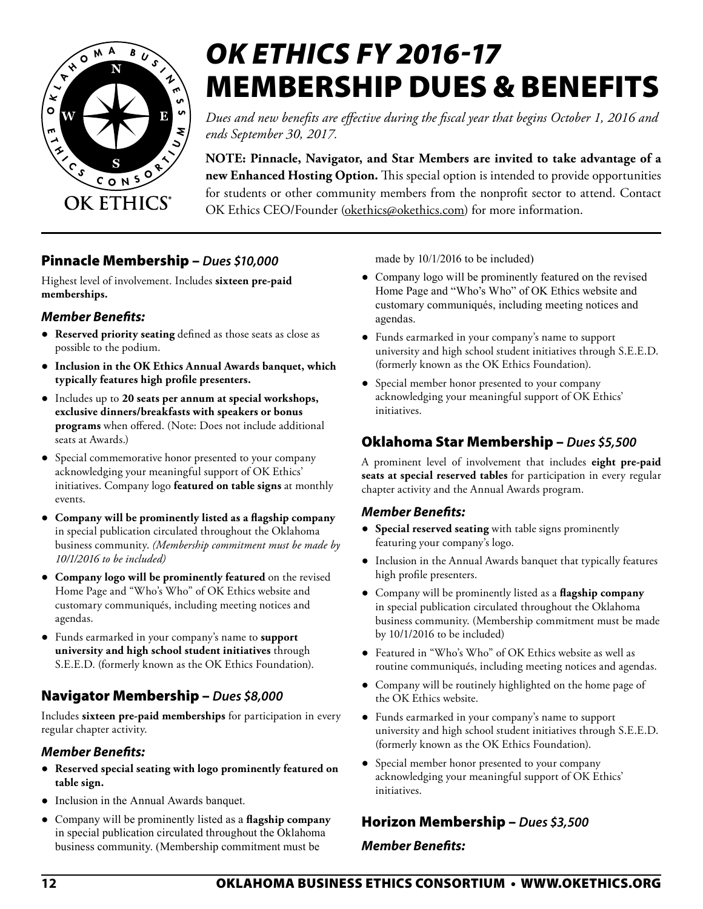

# *OK ETHICS FY 2016-17*  MEMBERSHIP DUES & BENEFITS

*Dues and new benefits are effective during the fiscal year that begins October 1, 2016 and ends September 30, 2017.*

**NOTE: Pinnacle, Navigator, and Star Members are invited to take advantage of a new Enhanced Hosting Option.** This special option is intended to provide opportunities for students or other community members from the nonprofit sector to attend. Contact OK Ethics CEO/Founder [\(okethics@okethics.com](mailto:okethics@okethics.com)) for more information.

#### Pinnacle Membership – *Dues \$10,000*

Highest level of involvement. Includes **sixteen pre-paid memberships.**

#### *Member Benefits:*

- **Reserved priority seating** defined as those seats as close as possible to the podium.
- **Inclusion in the OK Ethics Annual Awards banquet, which typically features high profile presenters.**
- Includes up to **20 seats per annum at special workshops, exclusive dinners/breakfasts with speakers or bonus programs** when offered. (Note: Does not include additional seats at Awards.)
- Special commemorative honor presented to your company acknowledging your meaningful support of OK Ethics' initiatives. Company logo **featured on table signs** at monthly events.
- **Company will be prominently listed as a flagship company**  in special publication circulated throughout the Oklahoma business community. *(Membership commitment must be made by 10/1/2016 to be included)*
- **Company logo will be prominently featured** on the revised Home Page and "Who's Who" of OK Ethics website and customary communiqués, including meeting notices and agendas.
- Funds earmarked in your company's name to **support university and high school student initiatives** through S.E.E.D. (formerly known as the OK Ethics Foundation).

#### Navigator Membership – *Dues \$8,000*

Includes **sixteen pre-paid memberships** for participation in every regular chapter activity.

#### *Member Benefits:*

- **Reserved special seating with logo prominently featured on table sign.**
- Inclusion in the Annual Awards banquet.
- Company will be prominently listed as a **flagship company**  in special publication circulated throughout the Oklahoma business community. (Membership commitment must be

made by 10/1/2016 to be included)

- Company logo will be prominently featured on the revised Home Page and "Who's Who" of OK Ethics website and customary communiqués, including meeting notices and agendas.
- Funds earmarked in your company's name to support university and high school student initiatives through S.E.E.D. (formerly known as the OK Ethics Foundation).
- Special member honor presented to your company acknowledging your meaningful support of OK Ethics' initiatives.

#### Oklahoma Star Membership – *Dues \$5,500*

A prominent level of involvement that includes **eight pre-paid seats at special reserved tables** for participation in every regular chapter activity and the Annual Awards program.

#### *Member Benefits:*

- **Special reserved seating** with table signs prominently featuring your company's logo.
- Inclusion in the Annual Awards banquet that typically features high profile presenters.
- Company will be prominently listed as a **flagship company**  in special publication circulated throughout the Oklahoma business community. (Membership commitment must be made by 10/1/2016 to be included)
- Featured in "Who's Who" of OK Ethics website as well as routine communiqués, including meeting notices and agendas.
- Company will be routinely highlighted on the home page of the OK Ethics website.
- Funds earmarked in your company's name to support university and high school student initiatives through S.E.E.D. (formerly known as the OK Ethics Foundation).
- Special member honor presented to your company acknowledging your meaningful support of OK Ethics' initiatives.

#### Horizon Membership – *Dues \$3,500*

#### *Member Benefits:*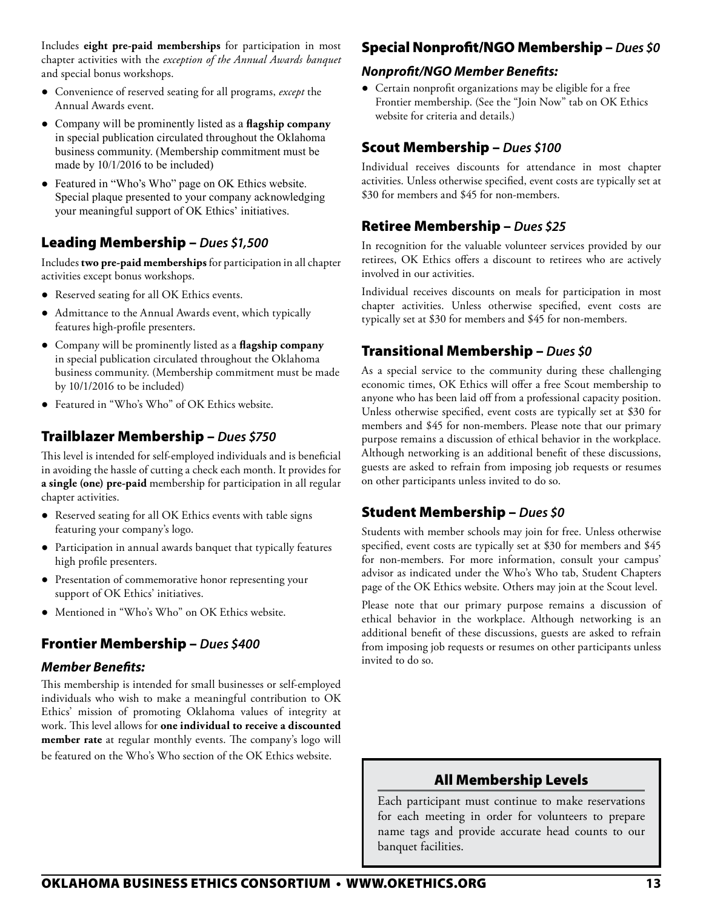Includes **eight pre-paid memberships** for participation in most chapter activities with the *exception of the Annual Awards banquet* and special bonus workshops.

- Convenience of reserved seating for all programs, *except* the Annual Awards event.
- Company will be prominently listed as a **flagship company**  in special publication circulated throughout the Oklahoma business community. (Membership commitment must be made by 10/1/2016 to be included)
- Featured in "Who's Who" page on OK Ethics website. Special plaque presented to your company acknowledging your meaningful support of OK Ethics' initiatives.

#### Leading Membership – *Dues \$1,500*

Includes **two pre-paid memberships** for participation in all chapter activities except bonus workshops.

- Reserved seating for all OK Ethics events.
- Admittance to the Annual Awards event, which typically features high-profile presenters.
- Company will be prominently listed as a **flagship company**  in special publication circulated throughout the Oklahoma business community. (Membership commitment must be made by 10/1/2016 to be included)
- Featured in "Who's Who" of OK Ethics website.

#### Trailblazer Membership – *Dues \$750*

This level is intended for self-employed individuals and is beneficial in avoiding the hassle of cutting a check each month. It provides for **a single (one) pre-paid** membership for participation in all regular chapter activities.

- Reserved seating for all OK Ethics events with table signs featuring your company's logo.
- Participation in annual awards banquet that typically features high profile presenters.
- Presentation of commemorative honor representing your support of OK Ethics' initiatives.
- Mentioned in "Who's Who" on OK Ethics website.

#### Frontier Membership – *Dues \$400*

#### *Member Benefits:*

This membership is intended for small businesses or self-employed individuals who wish to make a meaningful contribution to OK Ethics' mission of promoting Oklahoma values of integrity at work. This level allows for **one individual to receive a discounted member rate** at regular monthly events. The company's logo will be featured on the Who's Who section of the OK Ethics website.

#### Special Nonprofit/NGO Membership – *Dues \$0*

#### *Nonprofit/NGO Member Benefits:*

● Certain nonprofit organizations may be eligible for a free Frontier membership. (See the "Join Now" tab on OK Ethics website for criteria and details.)

#### Scout Membership – *Dues \$100*

Individual receives discounts for attendance in most chapter activities. Unless otherwise specified, event costs are typically set at \$30 for members and \$45 for non-members.

#### Retiree Membership – *Dues \$25*

In recognition for the valuable volunteer services provided by our retirees, OK Ethics offers a discount to retirees who are actively involved in our activities.

Individual receives discounts on meals for participation in most chapter activities. Unless otherwise specified, event costs are typically set at \$30 for members and \$45 for non-members.

#### Transitional Membership – *Dues \$0*

As a special service to the community during these challenging economic times, OK Ethics will offer a free Scout membership to anyone who has been laid off from a professional capacity position. Unless otherwise specified, event costs are typically set at \$30 for members and \$45 for non-members. Please note that our primary purpose remains a discussion of ethical behavior in the workplace. Although networking is an additional benefit of these discussions, guests are asked to refrain from imposing job requests or resumes on other participants unless invited to do so.

#### Student Membership – *Dues \$0*

Students with member schools may join for free. Unless otherwise specified, event costs are typically set at \$30 for members and \$45 for non-members. For more information, consult your campus' advisor as indicated under the Who's Who tab, Student Chapters page of the OK Ethics website. Others may join at the Scout level.

Please note that our primary purpose remains a discussion of ethical behavior in the workplace. Although networking is an additional benefit of these discussions, guests are asked to refrain from imposing job requests or resumes on other participants unless invited to do so.

#### All Membership Levels

Each participant must continue to make reservations for each meeting in order for volunteers to prepare name tags and provide accurate head counts to our banquet facilities.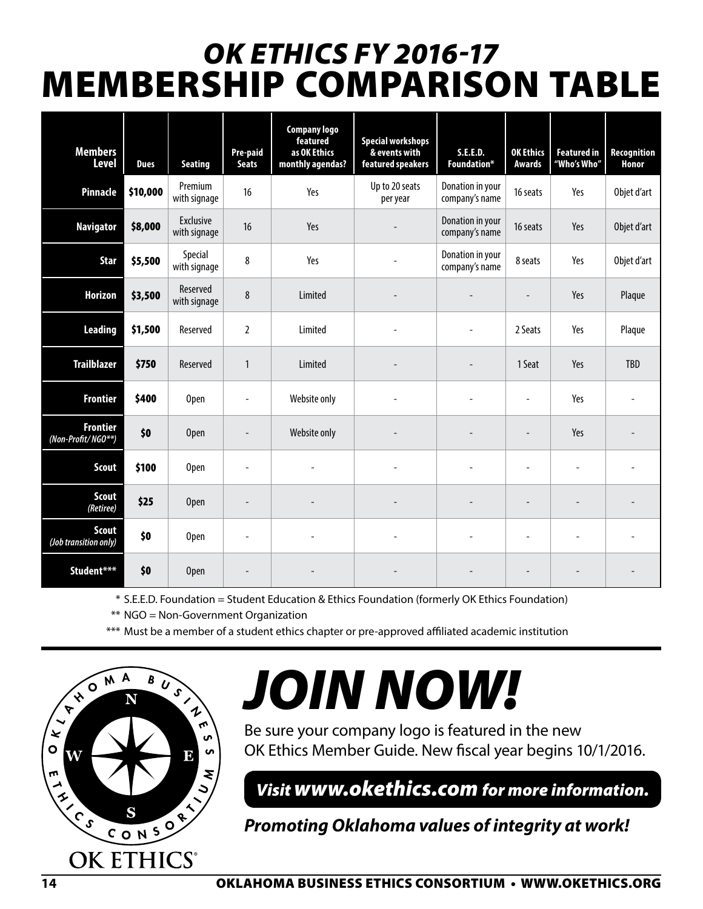# *OK ETHICS FY 2016-17*  MEMBERSHIP COMPARISON TABLE

| <b>Members</b><br><b>Level</b>        | <b>Dues</b> | <b>Seating</b>                   | Pre-paid<br><b>Seats</b> | <b>Company logo</b><br>featured<br>as OK Ethics<br>monthly agendas? | <b>Special workshops</b><br>& events with<br>featured speakers | <b>S.E.E.D.</b><br>Foundation*     | <b>OK Ethics</b><br><b>Awards</b> | <b>Featured in</b><br>"Who's Who" | <b>Recognition</b><br>Honor |
|---------------------------------------|-------------|----------------------------------|--------------------------|---------------------------------------------------------------------|----------------------------------------------------------------|------------------------------------|-----------------------------------|-----------------------------------|-----------------------------|
| <b>Pinnacle</b>                       | \$10,000    | Premium<br>with signage          | 16                       | Yes                                                                 | Up to 20 seats<br>per year                                     | Donation in your<br>company's name | 16 seats                          | Yes                               | Objet d'art                 |
| <b>Navigator</b>                      | \$8,000     | <b>Exclusive</b><br>with signage | 16                       | Yes                                                                 |                                                                | Donation in your<br>company's name | 16 seats                          | Yes                               | Objet d'art                 |
| <b>Star</b>                           | \$5,500     | Special<br>with signage          | 8                        | Yes                                                                 |                                                                | Donation in your<br>company's name | 8 seats                           | Yes                               | Objet d'art                 |
| <b>Horizon</b>                        | \$3,500     | Reserved<br>with signage         | 8                        | Limited                                                             |                                                                |                                    |                                   | Yes                               | Plaque                      |
| <b>Leading</b>                        | \$1,500     | Reserved                         | $\overline{2}$           | Limited                                                             | $\overline{a}$                                                 |                                    | 2 Seats                           | Yes                               | Plaque                      |
| <b>Trailblazer</b>                    | \$750       | Reserved                         | 1                        | Limited                                                             |                                                                |                                    | 1 Seat                            | Yes                               | <b>TBD</b>                  |
| <b>Frontier</b>                       | \$400       | Open                             | $\overline{\phantom{a}}$ | Website only                                                        |                                                                |                                    | ÷,                                | Yes                               |                             |
| <b>Frontier</b><br>(Non-Profit/NGO**) | \$0         | <b>Open</b>                      |                          | Website only                                                        |                                                                |                                    | $\overline{\phantom{m}}$          | Yes                               |                             |
| <b>Scout</b>                          | \$100       | Open                             |                          |                                                                     |                                                                |                                    |                                   |                                   |                             |
| <b>Scout</b><br>(Retiree)             | \$25        | <b>Open</b>                      |                          |                                                                     |                                                                |                                    |                                   |                                   |                             |
| <b>Scout</b><br>(Job transition only) | \$0         | Open                             | $\overline{\phantom{a}}$ |                                                                     |                                                                |                                    | ÷,                                |                                   |                             |
| Student***                            | \$0         | <b>Open</b>                      |                          |                                                                     |                                                                |                                    |                                   |                                   |                             |

\* S.E.E.D. Foundation = Student Education & Ethics Foundation (formerly OK Ethics Foundation)

\*\* NGO = Non-Government Organization

\*\*\* Must be a member of a student ethics chapter or pre-approved affiliated academic institution



# *JOIN NOW!*

Be sure your company logo is featured in the new OK Ethics Member Guide. New fiscal year begins 10/1/2016.

*Visit www.okethics.com for more information.*

*Promoting Oklahoma values of integrity at work!*